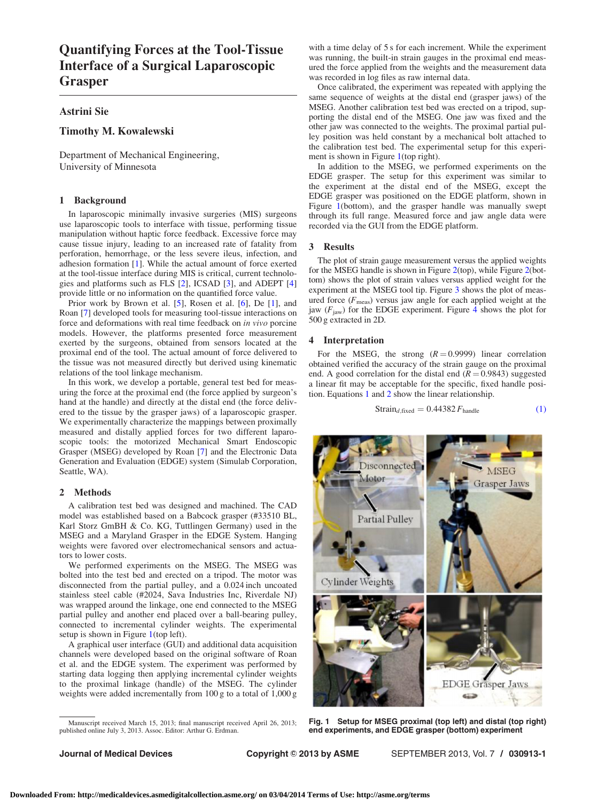# Quantifying Forces at the Tool-Tissue Interface of a Surgical Laparoscopic Grasper

# Astrini Sie

# Timothy M. Kowalewski

Department of Mechanical Engineering, University of Minnesota

## 1 Background

In laparoscopic minimally invasive surgeries (MIS) surgeons use laparoscopic tools to interface with tissue, performing tissue manipulation without haptic force feedback. Excessive force may cause tissue injury, leading to an increased rate of fatality from perforation, hemorrhage, or the less severe ileus, infection, and adhesion formation [\[1\]](#page-1-0). While the actual amount of force exerted at the tool-tissue interface during MIS is critical, current technologies and platforms such as FLS [[2](#page-1-0)], ICSAD [[3](#page-1-0)], and ADEPT [\[4](#page-1-0)] provide little or no information on the quantified force value.

Prior work by Brown et al. [[5](#page-1-0)], Rosen et al. [\[6\]](#page-1-0), De [[1](#page-1-0)], and Roan [\[7\]](#page-1-0) developed tools for measuring tool-tissue interactions on force and deformations with real time feedback on in vivo porcine models. However, the platforms presented force measurement exerted by the surgeons, obtained from sensors located at the proximal end of the tool. The actual amount of force delivered to the tissue was not measured directly but derived using kinematic relations of the tool linkage mechanism.

In this work, we develop a portable, general test bed for measuring the force at the proximal end (the force applied by surgeon's hand at the handle) and directly at the distal end (the force delivered to the tissue by the grasper jaws) of a laparoscopic grasper. We experimentally characterize the mappings between proximally measured and distally applied forces for two different laparoscopic tools: the motorized Mechanical Smart Endoscopic Grasper (MSEG) developed by Roan [\[7\]](#page-1-0) and the Electronic Data Generation and Evaluation (EDGE) system (Simulab Corporation, Seattle, WA).

#### 2 Methods

A calibration test bed was designed and machined. The CAD model was established based on a Babcock grasper (#33510 BL, Karl Storz GmBH & Co. KG, Tuttlingen Germany) used in the MSEG and a Maryland Grasper in the EDGE System. Hanging weights were favored over electromechanical sensors and actuators to lower costs.

We performed experiments on the MSEG. The MSEG was bolted into the test bed and erected on a tripod. The motor was disconnected from the partial pulley, and a 0.024 inch uncoated stainless steel cable (#2024, Sava Industries Inc, Riverdale NJ) was wrapped around the linkage, one end connected to the MSEG partial pulley and another end placed over a ball-bearing pulley, connected to incremental cylinder weights. The experimental setup is shown in Figure 1(top left).

A graphical user interface (GUI) and additional data acquisition channels were developed based on the original software of Roan et al. and the EDGE system. The experiment was performed by starting data logging then applying incremental cylinder weights to the proximal linkage (handle) of the MSEG. The cylinder weights were added incrementally from 100 g to a total of 1,000 g

with a time delay of 5 s for each increment. While the experiment was running, the built-in strain gauges in the proximal end measured the force applied from the weights and the measurement data was recorded in log files as raw internal data.

Once calibrated, the experiment was repeated with applying the same sequence of weights at the distal end (grasper jaws) of the MSEG. Another calibration test bed was erected on a tripod, supporting the distal end of the MSEG. One jaw was fixed and the other jaw was connected to the weights. The proximal partial pulley position was held constant by a mechanical bolt attached to the calibration test bed. The experimental setup for this experiment is shown in Figure 1(top right).

In addition to the MSEG, we performed experiments on the EDGE grasper. The setup for this experiment was similar to the experiment at the distal end of the MSEG, except the EDGE grasper was positioned on the EDGE platform, shown in Figure 1(bottom), and the grasper handle was manually swept through its full range. Measured force and jaw angle data were recorded via the GUI from the EDGE platform.

### 3 Results

The plot of strain gauge measurement versus the applied weights for the MSEG handle is shown in Figure [2\(](#page-1-0)top), while Figure [2\(](#page-1-0)bottom) shows the plot of strain values versus applied weight for the experiment at the MSEG tool tip. Figure [3](#page-1-0) shows the plot of measured force  $(F_{\text{meas}})$  versus jaw angle for each applied weight at the jaw  $(F<sub>jaw</sub>)$  for the EDGE experiment. Figure [4](#page-1-0) shows the plot for 500 g extracted in 2D.

#### 4 Interpretation

For the MSEG, the strong  $(R = 0.9999)$  linear correlation obtained verified the accuracy of the strain gauge on the proximal end. A good correlation for the distal end  $(R = 0.9843)$  suggested a linear fit may be acceptable for the specific, fixed handle position. Equations 1 and 2 show the linear relationship.

$$
Strain_{d, fixed} = 0.44382 F_{handle}
$$
 (1)



Fig. 1 Setup for MSEG proximal (top left) and distal (top right) end experiments, and EDGE grasper (bottom) experiment

Manuscript received March 15, 2013; final manuscript received April 26, 2013; published online July 3, 2013. Assoc. Editor: Arthur G. Erdman.